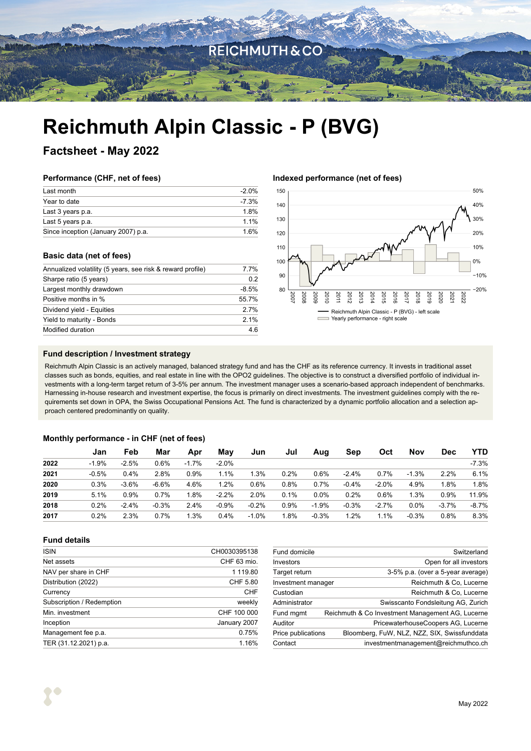

# **Reichmuth Alpin Classic - P (BVG)**

**Factsheet - May 2022**

### **Performance (CHF, net of fees)**

| Last month                          | -2.0%   |
|-------------------------------------|---------|
| Year to date                        | $-7.3%$ |
| Last 3 years p.a.                   | 1.8%    |
| Last 5 years p.a.                   | $11\%$  |
| Since inception (January 2007) p.a. | 16%     |

### **Basic data (net of fees)**

| Annualized volatility (5 years, see risk & reward profile) | 7.7%    |  |
|------------------------------------------------------------|---------|--|
| Sharpe ratio (5 years)                                     | 0.2     |  |
| Largest monthly drawdown                                   | $-8.5%$ |  |
| Positive months in %                                       | 55.7%   |  |
| Dividend yield - Equities                                  | 2.7%    |  |
| Yield to maturity - Bonds                                  | 2.1%    |  |
| Modified duration                                          | 4.6     |  |

### **Indexed performance (net of fees)**



### **Fund description / Investment strategy**

Reichmuth Alpin Classic is an actively managed, balanced strategy fund and has the CHF as its reference currency. It invests in traditional asset classes such as bonds, equities, and real estate in line with the OPO2 guidelines. The objective is to construct a diversified portfolio of individual investments with a long-term target return of 3-5% per annum. The investment manager uses a scenario-based approach independent of benchmarks. Harnessing in-house research and investment expertise, the focus is primarily on direct investments. The investment guidelines comply with the requirements set down in OPA, the Swiss Occupational Pensions Act. The fund is characterized by a dynamic portfolio allocation and a selection approach centered predominantly on quality.

### **Monthly performance - in CHF (net of fees)**

|      | Jan     | Feb     | Mar     | Apr     | Mav     | Jun     | Jul  | Aug     | Sep     | Oct     | Nov     | <b>Dec</b> | YTD     |
|------|---------|---------|---------|---------|---------|---------|------|---------|---------|---------|---------|------------|---------|
| 2022 | $-1.9%$ | $-2.5%$ | 0.6%    | $-1.7%$ | $-2.0%$ |         |      |         |         |         |         |            | $-7.3%$ |
| 2021 | $-0.5%$ | 0.4%    | 2.8%    | 0.9%    | 1.1%    | 1.3%    | 0.2% | 0.6%    | $-2.4%$ | 0.7%    | $-1.3%$ | 2.2%       | 6.1%    |
| 2020 | $0.3\%$ | $-3.6%$ | $-6.6%$ | 4.6%    | 1.2%    | 0.6%    | 0.8% | 0.7%    | $-0.4%$ | $-2.0%$ | 4.9%    | 1.8%       | 1.8%    |
| 2019 | 5.1%    | 0.9%    | 0.7%    | .8%     | $-2.2%$ | 2.0%    | 0.1% | 0.0%    | 0.2%    | 0.6%    | 1.3%    | 0.9%       | 11.9%   |
| 2018 | 0.2%    | $-2.4%$ | $-0.3%$ | 2.4%    | $-0.9%$ | $-0.2%$ | 0.9% | $-1.9%$ | $-0.3%$ | $-2.7%$ | 0.0%    | $-3.7%$    | $-8.7%$ |
| 2017 | 0.2%    | 2.3%    | 0.7%    | $.3\%$  | 0.4%    | $-1.0%$ | '.8% | $-0.3%$ | 1.2%    | 1.1%    | $-0.3%$ | 0.8%       | 8.3%    |

### **Fund details**

| CH0030395138 |
|--------------|
| CHF 63 mio.  |
| 1 119.80     |
| CHF 5.80     |
| CHF          |
| weekly       |
| CHF 100 000  |
| January 2007 |
| 0.75%        |
| 1.16%        |
|              |

| Switzerland                                                        |
|--------------------------------------------------------------------|
| Open for all investors                                             |
| 3-5% p.a. (over a 5-year average)                                  |
| Reichmuth & Co. Lucerne<br>Investment manager                      |
| Reichmuth & Co, Lucerne                                            |
| Swisscanto Fondsleitung AG, Zurich                                 |
| Reichmuth & Co Investment Management AG, Lucerne                   |
| PricewaterhouseCoopers AG, Lucerne                                 |
| Bloomberg, FuW, NLZ, NZZ, SIX, Swissfunddata<br>Price publications |
| investmentmanagement@reichmuthco.ch                                |
|                                                                    |